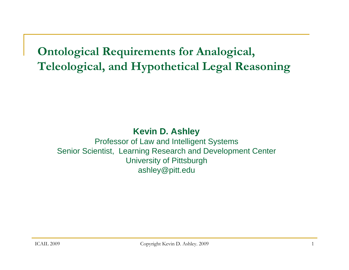**Ontological Requirements for Analogical, Teleological, and Hypothetical Legal Reasoning** 

#### **Kevin D. Ashley**

Professor of Law and Intelligent Systems Senior Scientist, Learning Research and Development Center University of Pittsburgh ashley@pitt.edu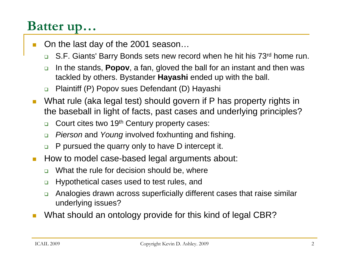# **Batter up…**

- П On the last day of the 2001 season…
	- $\Box$ S.F. Giants' Barry Bonds sets new record when he hit his 73<sup>rd</sup> home run.
	- $\Box$  In the stands, **Popov**, a fan, gloved the ball for an instant and then was tackled by others. Bystander **Hayashi** ended up with the ball.
	- $\Box$ Plaintiff (P) Popov sues Defendant (D) Hayashi
- $\mathcal{L}^{\mathcal{L}}$  What rule (aka legal test) should govern if P has property rights in the baseball in light of facts, past cases and underlying principles?
	- $\Box$ Court cites two 19th Century property cases:
	- $\Box$ *Pierson* and *Young* involved foxhunting and fishing.
	- $\Box$ P pursued the quarry only to have D intercept it.
- How to model case-based legal arguments about:
	- $\Box$ What the rule for decision should be, where
	- $\Box$ Hypothetical cases used to test rules, and
	- $\Box$  Analogies drawn across superficially different cases that raise similar underlying issues?
- × What should an ontology provide for this kind of legal CBR?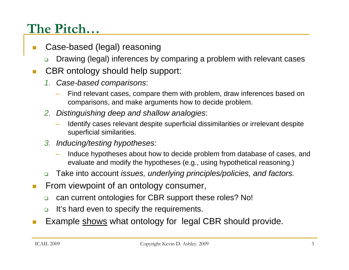# **The Pitch…**

- П Case-based (legal) reasoning
	- ❏ Drawing (legal) inferences by comparing a problem with relevant cases
- П CBR ontology should help support:
	- *1. Case-based comparisons*:
		- Find relevant cases, compare them with problem, draw inferences based on comparisons, and make arguments how to decide problem.
	- *2. Distinguishing deep and shallow analogies*:
		- Identify cases relevant despite superficial dissimilarities or irrelevant despite superficial similarities.
	- *3. Inducing/testing hypotheses*:
		- Induce hypotheses about how to decide problem from database of cases, and evaluate and modify the hypotheses (e.g., using hypothetical reasoning.)
	- $\Box$ Take into account *issues, underlying principles/policies, and factors.*
- **COL**  From viewpoint of an ontology consumer,
	- $\Box$ can current ontologies for CBR support these roles? No!
	- $\Box$ It's hard even to specify the requirements.
- Example shows what ontology for legal CBR should provide.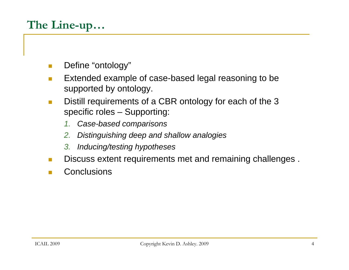# **The Line-up…**

- × Define "ontology"
- $\mathcal{L}_{\rm{max}}$  Extended example of case-based legal reasoning to be supported by ontology.
- $\mathcal{L}^{\text{max}}$  Distill requirements of a CBR ontology for each of the 3 specific roles – Supporting:
	- *1. Case-based comparisons*
	- *2. Distinguishing deep and shallow analogies*
	- *3. Inducing/testing hypotheses*
- $\mathcal{L}^{\mathcal{L}}$ Discuss extent requirements met and remaining challenges .
- $\mathcal{L}_{\rm{max}}$ **Conclusions**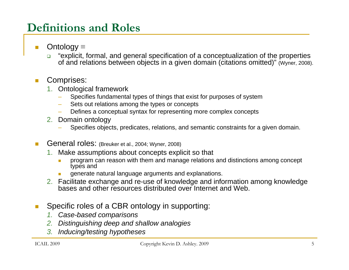## **Definitions and Roles**

- Ontology <sup>≡</sup>
	- $\Box$  "explicit, formal, and general specification of a conceptualization of the properties of and relations between objects in a given domain (citations omitted)" (Wyner, 2008).

#### Comprises:

- 1. Ontological framework
	- Specifies fundamental types of things that exist for purposes of system
	- Sets out relations among the types or concepts
	- Defines a conceptual syntax for representing more complex concepts
- 2. Domain ontology
	- Specifies objects, predicates, relations, and semantic constraints for a given domain.
- General roles: (Breuker et al., 2004; Wyner, 2008)
	- 1. Make assumptions about concepts explicit so that
		- $\mathcal{L}_{\mathcal{A}}$  program can reason with them and manage relations and distinctions among concept types and
		- generate natural language arguments and explanations.
	- 2. Facilitate exchange and re-use of knowledge and information among knowledge bases and other resources distributed over Internet and Web.
- Specific roles of a CBR ontology in supporting:
	- *1. Case-based comparisons*
	- *2. Distinguishing deep and shallow analogies*
	- *3. Inducing/testing hypotheses*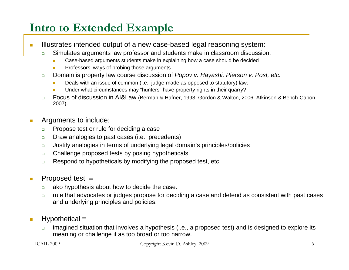## **Intro to Extended Example**

- m. Illustrates intended output of a new case-based legal reasoning system:
	- $\Box$  Simulates arguments law professor and students make in classroom discussion.
		- **T** Case-based arguments students make in explaining how a case should be decided
		- Professors' ways of probing those arguments.
	- $\Box$  Domain is property law course discussion of *Popov v. Hayashi, Pierson v. Post, etc.*
		- Deals with an issue of common (i.e., judge-made as opposed to statutory) law:
		- Under what circumstances may "hunters" have property rights in their quarry?
	- $\Box$  Focus of discussion in AI&Law (Berman & Hafner, 1993; Gordon & Walton, 2006; Atkinson & Bench-Capon, 2007).
- m. Arguments to include:
	- $\Box$ Propose test or rule for deciding a case
	- $\Box$ Draw analogies to past cases (i.e., precedents)
	- $\Box$ Justify analogies in terms of underlying legal domain's principles/policies
	- $\Box$ Challenge proposed tests by posing hypotheticals
	- $\Box$ Respond to hypotheticals by modifying the proposed test, etc.
- **I**  Proposed test <sup>≡</sup>
	- $\Box$ ako hypothesis about how to decide the case.
	- $\Box$  rule that advocates or judges propose for deciding a case and defend as consistent with past cases and underlying principles and policies.
- **COL**  Hypothetical <sup>≡</sup>
	- $\Box$  imagined situation that involves a hypothesis (i.e., a proposed test) and is designed to explore its meaning or challenge it as too broad or too narrow.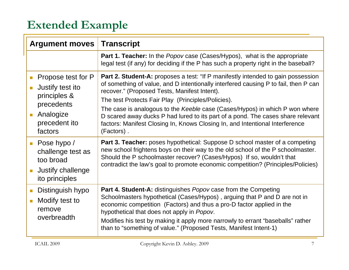## **Extended Example**

| <b>Argument moves</b>                                                                                                                                                 | <b>Transcript</b>                                                                                                                                                                                                                                                                                                                                                                                                                                                                                                                                    |
|-----------------------------------------------------------------------------------------------------------------------------------------------------------------------|------------------------------------------------------------------------------------------------------------------------------------------------------------------------------------------------------------------------------------------------------------------------------------------------------------------------------------------------------------------------------------------------------------------------------------------------------------------------------------------------------------------------------------------------------|
|                                                                                                                                                                       | <b>Part 1. Teacher:</b> In the <i>Popov</i> case (Cases/Hypos), what is the appropriate<br>legal test (if any) for deciding if the P has such a property right in the baseball?                                                                                                                                                                                                                                                                                                                                                                      |
| Propose test for P<br>$\Box$<br>Justify test ito<br>$\overline{\phantom{a}}$<br>principles &<br>precedents<br>Analogize<br>$\mathbb{R}^n$<br>precedent ito<br>factors | <b>Part 2. Student-A:</b> proposes a test: "If P manifestly intended to gain possession<br>of something of value, and D intentionally interfered causing P to fail, then P can<br>recover." (Proposed Tests, Manifest Intent).<br>The test Protects Fair Play (Principles/Policies).<br>The case is analogous to the Keeble case (Cases/Hypos) in which P won where<br>D scared away ducks P had lured to its part of a pond. The cases share relevant<br>factors: Manifest Closing In, Knows Closing In, and Intentional Interference<br>(Factors). |
| Pose hypo /<br>$\mathcal{L}_{\mathcal{A}}$<br>challenge test as<br>too broad<br>Justify challenge<br>ito principles                                                   | <b>Part 3. Teacher:</b> poses hypothetical: Suppose D school master of a competing<br>new school frightens boys on their way to the old school of the P schoolmaster.<br>Should the P schoolmaster recover? (Cases/Hypos) If so, wouldn't that<br>contradict the law's goal to promote economic competition? (Principles/Policies)                                                                                                                                                                                                                   |
| Distinguish hypo<br>Modify test to<br><b>I</b><br>remove<br>overbreadth                                                                                               | <b>Part 4. Student-A:</b> distinguishes <i>Popov</i> case from the Competing<br>Schoolmasters hypothetical (Cases/Hypos), arguing that P and D are not in<br>economic competition (Factors) and thus a pro-D factor applied in the<br>hypothetical that does not apply in Popov.<br>Modifies his test by making it apply more narrowly to errant "baseballs" rather<br>than to "something of value." (Proposed Tests, Manifest Intent-1)                                                                                                             |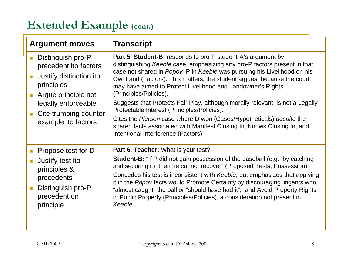### **Extended Example (cont.)**

| <b>Argument moves</b>                                                                                                                                                             | <b>Transcript</b>                                                                                                                                                                                                                                                                                                                                                                                                                                                                                                                                                                                                                                                                                                         |
|-----------------------------------------------------------------------------------------------------------------------------------------------------------------------------------|---------------------------------------------------------------------------------------------------------------------------------------------------------------------------------------------------------------------------------------------------------------------------------------------------------------------------------------------------------------------------------------------------------------------------------------------------------------------------------------------------------------------------------------------------------------------------------------------------------------------------------------------------------------------------------------------------------------------------|
| Distinguish pro-P<br>precedent ito factors<br>Justify distinction ito<br>principles<br>Argue principle not<br>legally enforceable<br>Cite trumping counter<br>example ito factors | <b>Part 5. Student-B:</b> responds to pro-P student-A's argument by<br>distinguishing Keeble case, emphasizing any pro-P factors present in that<br>case not shared in Popov. P in Keeble was pursuing his Livelihood on his<br>OwnLand (Factors). This matters, the student argues, because the court<br>may have aimed to Protect Livelihood and Landowner's Rights<br>(Principles/Policies).<br>Suggests that Protects Fair Play, although morally relevant, is not a Legally<br>Protectable Interest (Principles/Policies).<br>Cites the Pierson case where D won (Cases/Hypotheticals) despite the<br>shared facts associated with Manifest Closing In, Knows Closing In, and<br>Intentional Interference (Factors). |
| Propose test for D<br>Justify test ito<br>principles &<br>precedents<br>Distinguish pro-P<br>precedent on<br>principle                                                            | <b>Part 6. Teacher:</b> What is your test?<br><b>Student-B:</b> "If P did not gain possession of the baseball (e.g., by catching<br>and securing it), then he cannot recover" (Proposed Tests, Possession).<br>Concedes his test is inconsistent with Keeble, but emphasizes that applying<br>it in the Popov facts would Promote Certainty by discouraging litigants who<br>"almost caught" the ball or "should have had it", and Avoid Property Rights<br>in Public Property (Principles/Policies), a consideration not present in<br>Keeble.                                                                                                                                                                           |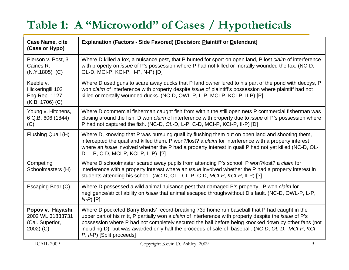# **Table 1: A "Microworld" of Cases / Hypotheticals**

| <b>Case Name, cite</b><br>(Case or Hypo)                              | <b>Explanation (Factors - Side Favored) [Decision: Plaintiff or Defendant]</b>                                                                                                                                                                                                                                                                                                                                                                                 |
|-----------------------------------------------------------------------|----------------------------------------------------------------------------------------------------------------------------------------------------------------------------------------------------------------------------------------------------------------------------------------------------------------------------------------------------------------------------------------------------------------------------------------------------------------|
| Pierson v. Post, 3<br>Caines R.<br>$(N.Y.1805)$ (C)                   | Where D killed a fox, a nuisance pest, that P hunted for sport on open land, P lost claim of interference<br>with property on <i>issue</i> of P's possession where P had not killed or mortally wounded the fox. (NC-D,<br>OL-D, MCI-P, KCI-P, II-P, N-P) [D]                                                                                                                                                                                                  |
| Keeble v.<br>Hickeringill 103<br>Eng.Rep. 1127<br>(K.B. 1706) (C)     | Where D used guns to scare away ducks that P land owner lured to his part of the pond with decoys, P<br>won claim of interference with property despite issue of plaintiff's possession where plaintiff had not<br>killed or mortally wounded ducks. (NC-D, OWL-P, L-P, MCI-P, KCI-P, II-P) [P]                                                                                                                                                                |
| Young v. Hitchens,<br>6 Q.B. 606 (1844)<br>(C)                        | Where D commercial fisherman caught fish from within the still open nets P commercial fisherman was<br>closing around the fish, D won claim of interference with property due to issue of P's possession where<br>P had not captured the fish. (NC-D, OL-D, L-P, C-D, MCI-P, KCI-P, II-P) [D]                                                                                                                                                                  |
| Flushing Quail (H)                                                    | Where D, knowing that P was pursuing quail by flushing them out on open land and shooting them,<br>intercepted the quail and killed them, P won?/lost? a claim for interference with a property interest<br>where an <i>issue</i> involved whether the P had a property interest in quail P had not yet killed (NC-D, OL-<br>D, L-P, C-D, MCI-P, KCI-P, II-P) [?]                                                                                              |
| Competing<br>Schoolmasters (H)                                        | Where D schoolmaster scared away pupils from attending P's school, P won?/lost? a claim for<br>interference with a property interest where an <i>issue</i> involved whether the P had a property interest in<br>students attending his school. (NC-D, OL-D, L-P, C-D, MCI-P, KCI-P, II-P) [?]                                                                                                                                                                  |
| Escaping Boar (C)                                                     | Where D possessed a wild animal nuisance pest that damaged P's property, P won claim for<br>negligence/strict liability on <i>issue</i> that animal escaped through/without D's fault. (NC-D, OWL-P, L-P,<br>$N-P$ $[P]$                                                                                                                                                                                                                                       |
| Popov v. Hayashi,<br>2002 WL 31833731<br>(Cal. Superior,<br>2002) (C) | Where D pocketed Barry Bonds' record-breaking 73d home run baseball that P had caught in the<br>upper part of his mitt, P partially won a <i>claim</i> of interference with property despite the <i>issue</i> of P's<br>possession where P had not completely secured the ball before being knocked down by other fans (not<br>including D), but was awarded only half the proceeds of sale of baseball. (NC-D, OL-D, MCI-P, KCI-<br>P, II-P) [Split proceeds] |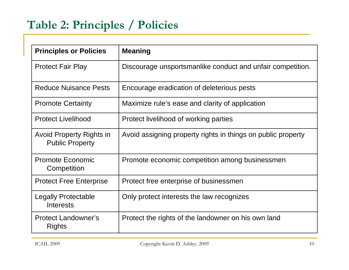## **Table 2: Principles / Policies**

| <b>Principles or Policies</b>                             | <b>Meaning</b>                                               |
|-----------------------------------------------------------|--------------------------------------------------------------|
| <b>Protect Fair Play</b>                                  | Discourage unsportsmanlike conduct and unfair competition.   |
| <b>Reduce Nuisance Pests</b>                              | Encourage eradication of deleterious pests                   |
| <b>Promote Certainty</b>                                  | Maximize rule's ease and clarity of application              |
| <b>Protect Livelihood</b>                                 | Protect livelihood of working parties                        |
| <b>Avoid Property Rights in</b><br><b>Public Property</b> | Avoid assigning property rights in things on public property |
| <b>Promote Economic</b><br>Competition                    | Promote economic competition among businessmen               |
| <b>Protect Free Enterprise</b>                            | Protect free enterprise of businessmen                       |
| <b>Legally Protectable</b><br>Interests                   | Only protect interests the law recognizes                    |
| <b>Protect Landowner's</b><br><b>Rights</b>               | Protect the rights of the landowner on his own land          |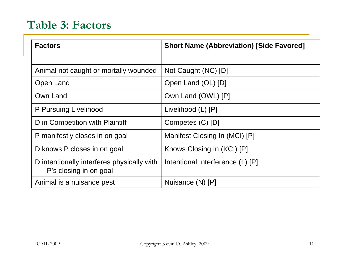## **Table 3: Factors**

| <b>Factors</b>                                                       | <b>Short Name (Abbreviation) [Side Favored]</b> |
|----------------------------------------------------------------------|-------------------------------------------------|
|                                                                      |                                                 |
| Animal not caught or mortally wounded                                | Not Caught (NC) [D]                             |
| Open Land                                                            | Open Land (OL) [D]                              |
| Own Land                                                             | Own Land (OWL) [P]                              |
| P Pursuing Livelihood                                                | Livelihood (L) [P]                              |
| D in Competition with Plaintiff                                      | Competes (C) [D]                                |
| P manifestly closes in on goal                                       | Manifest Closing In (MCI) [P]                   |
| D knows P closes in on goal                                          | Knows Closing In (KCI) [P]                      |
| D intentionally interferes physically with<br>P's closing in on goal | Intentional Interference (II) [P]               |
| Animal is a nuisance pest                                            | Nuisance (N) [P]                                |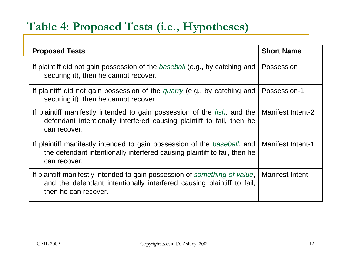## **Table 4: Proposed Tests (i.e., Hypotheses)**

| <b>Proposed Tests</b>                                                                                                                                                       | <b>Short Name</b>        |
|-----------------------------------------------------------------------------------------------------------------------------------------------------------------------------|--------------------------|
| If plaintiff did not gain possession of the <i>baseball</i> (e.g., by catching and<br>securing it), then he cannot recover.                                                 | Possession               |
| If plaintiff did not gain possession of the <i>quarry</i> (e.g., by catching and<br>securing it), then he cannot recover.                                                   | Possession-1             |
| If plaintiff manifestly intended to gain possession of the <i>fish</i> , and the<br>defendant intentionally interfered causing plaintiff to fail, then he<br>can recover.   | Manifest Intent-2        |
| If plaintiff manifestly intended to gain possession of the baseball, and<br>the defendant intentionally interfered causing plaintiff to fail, then he<br>can recover.       | <b>Manifest Intent-1</b> |
| If plaintiff manifestly intended to gain possession of something of value,<br>and the defendant intentionally interfered causing plaintiff to fail,<br>then he can recover. | <b>Manifest Intent</b>   |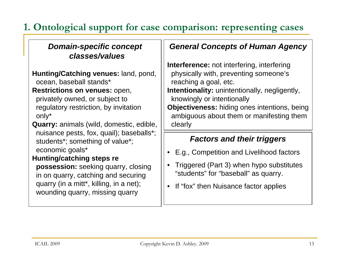### **1. Ontological support for case comparison: representing cases**

#### *Domain-specific concept classes/values*

**Hunting/Catching venues:** land, pond, ocean, baseball stands\*

**Restrictions on venues:** open,

privately owned, or subject to regulatory restriction, by invitation only\*

**Quarry:** animals (wild, domestic, edible, nuisance pests, fox, quail); baseballs\*; students\*; something of value\*; economic goals\*

**Hunting/catching steps re** 

**possession:** seeking quarry, closing in on quarry, catching and securing quarry (in a mitt\*, killing, in a net); wounding quarry, missing quarry

#### *General Concepts of Human Agency*

**Interference:** not interfering, interfering physically with, preventing someone's reaching a goal, etc. **Intentionality:** unintentionally, negligently, knowingly or intentionally **Objectiveness:** hiding ones intentions, being ambiguous about them or manifesting them clearly

#### *Factors and their triggers*

- E.g., Competition and Livelihood factors
- Triggered (Part 3) when hypo substitutes "students" for "baseball" as quarry.
- If "fox" then Nuisance factor applies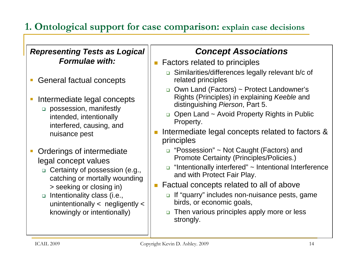### **1. Ontological support for case comparison: explain case decisions**

#### *Representing Tests as Logical Formulae with:*

- General factual concepts
- $\mathcal{L}$  Intermediate legal concepts
	- □ possession, manifestly intended, intentionally interfered, causing, and nuisance pest
- $\mathcal{C}$  Orderings of intermediate legal concept values
	- □ Certainty of possession (e.g., catching or mortally wounding > seeking or closing in)
	- $\Box$  Intentionality class (i.e., unintentionally < negligently < knowingly or intentionally)

### *Concept Associations*

- Π Factors related to principles
	- □ Similarities/differences legally relevant b/c of related principles
	- □ Own Land (Factors) ~ Protect Landowner's Rights (Principles) in explaining *Keeble* and distinguishing *Pierson*, Part 5.
	- □ Open Land ~ Avoid Property Rights in Public Property.
- Intermediate legal concepts related to factors & principles
	- "Possession" ~ Not Caught (Factors) and Promote Certainty (Principles/Policies.)
	- □ "Intentionally interfered" ~ Intentional Interference and with Protect Fair Play.
- Factual concepts related to all of above
	- □ If "quarry" includes non-nuisance pests, game birds, or economic goals,
	- □ Then various principles apply more or less strongly.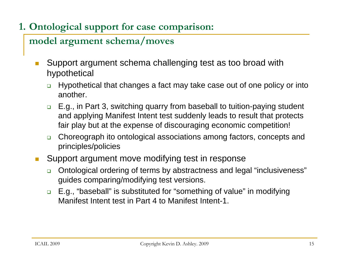### **1. Ontological support for case comparison:**

### **model argument schema/moves**

- $\mathcal{L}_{\mathcal{A}}$  Support argument schema challenging test as too broad with hypothetical
	- $\Box$  Hypothetical that changes a fact may take case out of one policy or into another.
	- $\Box$  E.g., in Part 3, switching quarry from baseball to tuition-paying student and applying Manifest Intent test suddenly leads to result that protects fair play but at the expense of discouraging economic competition!
	- $\Box$  Choreograph ito ontological associations among factors, concepts and principles/policies
- Support argument move modifying test in response
	- $\Box$  Ontological ordering of terms by abstractness and legal "inclusiveness" guides comparing/modifying test versions.
	- $\Box$  E.g., "baseball" is substituted for "something of value" in modifying Manifest Intent test in Part 4 to Manifest Intent-1.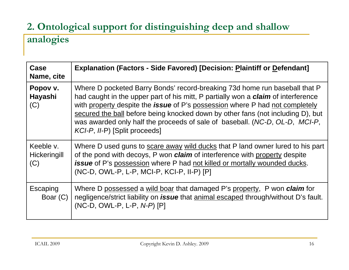### **2. Ontological support for distinguishing deep and shallow analogies**

| Case<br>Name, cite               | <b>Explanation (Factors - Side Favored) [Decision: Plaintiff or Defendant]</b>                                                                                                                                                                                                                                                                                                                                                                                   |
|----------------------------------|------------------------------------------------------------------------------------------------------------------------------------------------------------------------------------------------------------------------------------------------------------------------------------------------------------------------------------------------------------------------------------------------------------------------------------------------------------------|
| Popov v.<br>Hayashi<br>(C)       | Where D pocketed Barry Bonds' record-breaking 73d home run baseball that P<br>had caught in the upper part of his mitt, P partially won a <b>claim</b> of interference<br>with property despite the <b>issue</b> of P's possession where P had not completely<br>secured the ball before being knocked down by other fans (not including D), but<br>was awarded only half the proceeds of sale of baseball. (NC-D, OL-D, MCI-P,<br>KCI-P, II-P) [Split proceeds] |
| Keeble v.<br>Hickeringill<br>(C) | Where D used guns to scare away wild ducks that P land owner lured to his part<br>of the pond with decoys, P won <b>claim</b> of interference with property despite<br>issue of P's possession where P had not killed or mortally wounded ducks.<br>(NC-D, OWL-P, L-P, MCI-P, KCI-P, II-P) [P]                                                                                                                                                                   |
| Escaping<br>Boar (C)             | Where D possessed a wild boar that damaged P's property, P won <i>claim</i> for<br>negligence/strict liability on <i>issue</i> that animal escaped through/without D's fault.<br>(NC-D, OWL-P, L-P, N-P) [P]                                                                                                                                                                                                                                                     |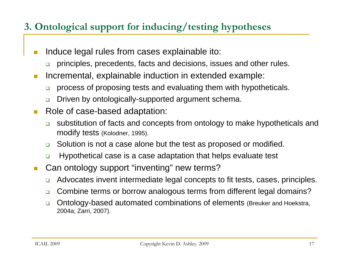### **3. Ontological support for inducing/testing hypotheses**

- **Tale**  Induce legal rules from cases explainable ito:
	- ❏ principles, precedents, facts and decisions, issues and other rules.
- $\mathcal{L}_{\mathcal{A}}$  Incremental, explainable induction in extended example:
	- ❏ process of proposing tests and evaluating them with hypotheticals.
	- $\Box$ Driven by ontologically-supported argument schema.
- $\mathcal{C}^{\mathcal{A}}$  Role of case-based adaptation:
	- ❏ substitution of facts and concepts from ontology to make hypotheticals and modify tests (Kolodner, 1995).
	- □ Solution is not a case alone but the test as proposed or modified.
	- $\Box$ Hypothetical case is a case adaptation that helps evaluate test
- $\mathcal{C}^{\mathcal{A}}$  Can ontology support "inventing" new terms?
	- $\Box$ Advocates invent intermediate legal concepts to fit tests, cases, principles.
	- $\Box$ Combine terms or borrow analogous terms from different legal domains?
	- $\Box$  Ontology-based automated combinations of elements (Breuker and Hoekstra, 2004a; Zarri, 2007).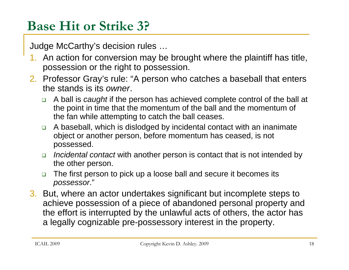# **Base Hit or Strike 3?**

Judge McCarthy's decision rules …

- 1. An action for conversion may be brought where the plaintiff has title, possession or the right to possession.
- 2. Professor Gray's rule: "A person who catches a baseball that enters the stands is its *owner*.
	- $\Box$  A ball is *caught* if the person has achieved complete control of the ball at the point in time that the momentum of the ball and the momentum of the fan while attempting to catch the ball ceases.
	- $\Box$  A baseball, which is dislodged by incidental contact with an inanimate object or another person, before momentum has ceased, is not possessed.
	- *Incidental contact* with another person is contact that is not intended by the other person.
	- $\Box$  The first person to pick up a loose ball and secure it becomes its *possessor*."
- 3. But, where an actor undertakes significant but incomplete steps to achieve possession of a piece of abandoned personal property and the effort is interrupted by the unlawful acts of others, the actor has a legally cognizable pre-possessory interest in the property.